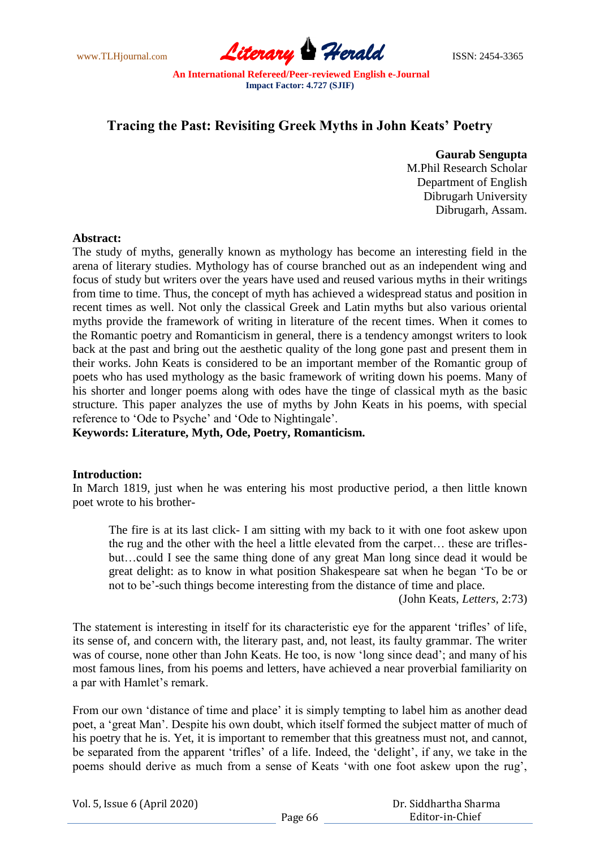www.TLHjournal.com **Literary Perald ISSN: 2454-3365** 

# **Tracing the Past: Revisiting Greek Myths in John Keats' Poetry**

**Gaurab Sengupta**

M.Phil Research Scholar Department of English Dibrugarh University Dibrugarh, Assam.

### **Abstract:**

The study of myths, generally known as mythology has become an interesting field in the arena of literary studies. Mythology has of course branched out as an independent wing and focus of study but writers over the years have used and reused various myths in their writings from time to time. Thus, the concept of myth has achieved a widespread status and position in recent times as well. Not only the classical Greek and Latin myths but also various oriental myths provide the framework of writing in literature of the recent times. When it comes to the Romantic poetry and Romanticism in general, there is a tendency amongst writers to look back at the past and bring out the aesthetic quality of the long gone past and present them in their works. John Keats is considered to be an important member of the Romantic group of poets who has used mythology as the basic framework of writing down his poems. Many of his shorter and longer poems along with odes have the tinge of classical myth as the basic structure. This paper analyzes the use of myths by John Keats in his poems, with special reference to "Ode to Psyche" and "Ode to Nightingale".

**Keywords: Literature, Myth, Ode, Poetry, Romanticism.** 

## **Introduction:**

In March 1819, just when he was entering his most productive period, a then little known poet wrote to his brother-

The fire is at its last click- I am sitting with my back to it with one foot askew upon the rug and the other with the heel a little elevated from the carpet… these are triflesbut…could I see the same thing done of any great Man long since dead it would be great delight: as to know in what position Shakespeare sat when he began "To be or not to be"-such things become interesting from the distance of time and place.

(John Keats, *Letters,* 2:73)

The statement is interesting in itself for its characteristic eye for the apparent "trifles" of life, its sense of, and concern with, the literary past, and, not least, its faulty grammar. The writer was of course, none other than John Keats. He too, is now 'long since dead'; and many of his most famous lines, from his poems and letters, have achieved a near proverbial familiarity on a par with Hamlet's remark.

From our own 'distance of time and place' it is simply tempting to label him as another dead poet, a "great Man". Despite his own doubt, which itself formed the subject matter of much of his poetry that he is. Yet, it is important to remember that this greatness must not, and cannot, be separated from the apparent 'trifles' of a life. Indeed, the 'delight', if any, we take in the poems should derive as much from a sense of Keats "with one foot askew upon the rug",

| Vol. 5, Issue 6 (April 2020) |  |  |  |
|------------------------------|--|--|--|
|------------------------------|--|--|--|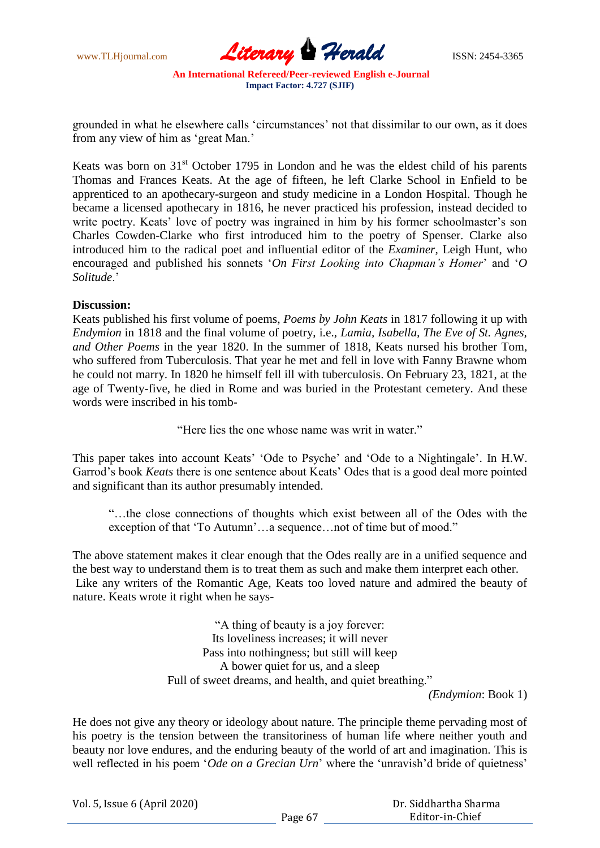www.TLHjournal.com **Literary Herald Herald** ISSN: 2454-3365

grounded in what he elsewhere calls "circumstances" not that dissimilar to our own, as it does from any view of him as "great Man."

Keats was born on  $31<sup>st</sup>$  October 1795 in London and he was the eldest child of his parents Thomas and Frances Keats. At the age of fifteen, he left Clarke School in Enfield to be apprenticed to an apothecary-surgeon and study medicine in a London Hospital. Though he became a licensed apothecary in 1816, he never practiced his profession, instead decided to write poetry. Keats' love of poetry was ingrained in him by his former schoolmaster's son Charles Cowden-Clarke who first introduced him to the poetry of Spenser. Clarke also introduced him to the radical poet and influential editor of the *Examiner*, Leigh Hunt, who encouraged and published his sonnets '*On First Looking into Chapman's Homer*' and '*O Solitude*."

#### **Discussion:**

Keats published his first volume of poems, *Poems by John Keats* in 1817 following it up with *Endymion* in 1818 and the final volume of poetry, i.e., *Lamia, Isabella, The Eve of St. Agnes, and Other Poems* in the year 1820. In the summer of 1818, Keats nursed his brother Tom, who suffered from Tuberculosis. That year he met and fell in love with Fanny Brawne whom he could not marry. In 1820 he himself fell ill with tuberculosis. On February 23, 1821, at the age of Twenty-five, he died in Rome and was buried in the Protestant cemetery. And these words were inscribed in his tomb-

"Here lies the one whose name was writ in water."

This paper takes into account Keats' 'Ode to Psyche' and 'Ode to a Nightingale'. In H.W. Garrod's book *Keats* there is one sentence about Keats' Odes that is a good deal more pointed and significant than its author presumably intended.

"…the close connections of thoughts which exist between all of the Odes with the exception of that 'To Autumn'...a sequence...not of time but of mood."

The above statement makes it clear enough that the Odes really are in a unified sequence and the best way to understand them is to treat them as such and make them interpret each other. Like any writers of the Romantic Age, Keats too loved nature and admired the beauty of nature. Keats wrote it right when he says-

> "A thing of beauty is a joy forever: Its loveliness increases; it will never Pass into nothingness; but still will keep A bower quiet for us, and a sleep Full of sweet dreams, and health, and quiet breathing."

*(Endymion*: Book 1)

He does not give any theory or ideology about nature. The principle theme pervading most of his poetry is the tension between the transitoriness of human life where neither youth and beauty nor love endures, and the enduring beauty of the world of art and imagination. This is well reflected in his poem '*Ode on a Grecian Urn*' where the 'unravish'd bride of quietness'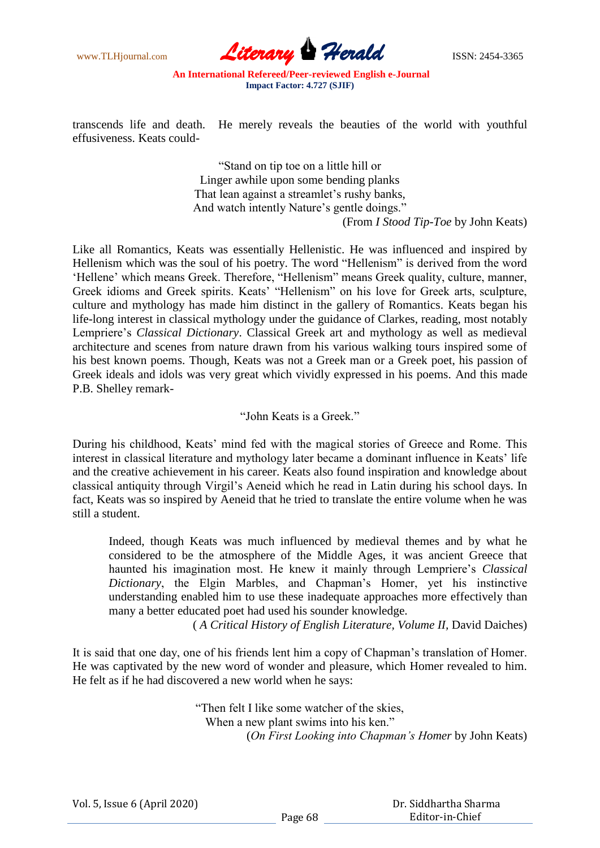www.TLHjournal.com **Literary Perald ISSN: 2454-3365** 

transcends life and death. He merely reveals the beauties of the world with youthful effusiveness. Keats could-

> "Stand on tip toe on a little hill or Linger awhile upon some bending planks That lean against a streamlet's rushy banks, And watch intently Nature's gentle doings." (From *I Stood Tip-Toe* by John Keats)

Like all Romantics, Keats was essentially Hellenistic. He was influenced and inspired by Hellenism which was the soul of his poetry. The word "Hellenism" is derived from the word 'Hellene' which means Greek. Therefore, "Hellenism" means Greek quality, culture, manner, Greek idioms and Greek spirits. Keats" "Hellenism" on his love for Greek arts, sculpture, culture and mythology has made him distinct in the gallery of Romantics. Keats began his life-long interest in classical mythology under the guidance of Clarkes, reading, most notably Lempriere"s *Classical Dictionary*. Classical Greek art and mythology as well as medieval architecture and scenes from nature drawn from his various walking tours inspired some of his best known poems. Though, Keats was not a Greek man or a Greek poet, his passion of Greek ideals and idols was very great which vividly expressed in his poems. And this made P.B. Shelley remark-

"John Keats is a Greek."

During his childhood, Keats" mind fed with the magical stories of Greece and Rome. This interest in classical literature and mythology later became a dominant influence in Keats' life and the creative achievement in his career. Keats also found inspiration and knowledge about classical antiquity through Virgil"s Aeneid which he read in Latin during his school days. In fact, Keats was so inspired by Aeneid that he tried to translate the entire volume when he was still a student.

Indeed, though Keats was much influenced by medieval themes and by what he considered to be the atmosphere of the Middle Ages, it was ancient Greece that haunted his imagination most. He knew it mainly through Lempriere"s *Classical Dictionary*, the Elgin Marbles, and Chapman"s Homer, yet his instinctive understanding enabled him to use these inadequate approaches more effectively than many a better educated poet had used his sounder knowledge.

( *A Critical History of English Literature, Volume II,* David Daiches)

It is said that one day, one of his friends lent him a copy of Chapman"s translation of Homer. He was captivated by the new word of wonder and pleasure, which Homer revealed to him. He felt as if he had discovered a new world when he says:

> "Then felt I like some watcher of the skies, When a new plant swims into his ken." (*On First Looking into Chapman's Homer* by John Keats)

| Vol. 5, Issue 6 (April 2020) |  |  |  |
|------------------------------|--|--|--|
|------------------------------|--|--|--|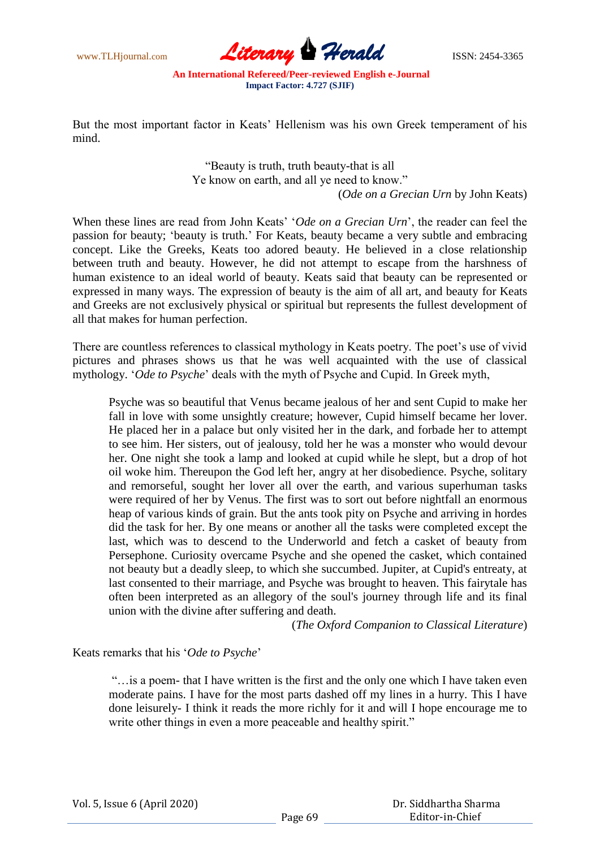www.TLHjournal.com **Literary Herald Herald** ISSN: 2454-3365

But the most important factor in Keats' Hellenism was his own Greek temperament of his mind.

> "Beauty is truth, truth beauty-that is all Ye know on earth, and all ye need to know." (*Ode on a Grecian Urn* by John Keats)

When these lines are read from John Keats' '*Ode on a Grecian Urn*', the reader can feel the passion for beauty; "beauty is truth." For Keats, beauty became a very subtle and embracing concept. Like the Greeks, Keats too adored beauty. He believed in a close relationship between truth and beauty. However, he did not attempt to escape from the harshness of human existence to an ideal world of beauty. Keats said that beauty can be represented or expressed in many ways. The expression of beauty is the aim of all art, and beauty for Keats and Greeks are not exclusively physical or spiritual but represents the fullest development of all that makes for human perfection.

There are countless references to classical mythology in Keats poetry. The poet's use of vivid pictures and phrases shows us that he was well acquainted with the use of classical mythology. "*Ode to Psyche*" deals with the myth of Psyche and Cupid. In Greek myth,

Psyche was so beautiful that Venus became jealous of her and sent Cupid to make her fall in love with some unsightly creature; however, Cupid himself became her lover. He placed her in a palace but only visited her in the dark, and forbade her to attempt to see him. Her sisters, out of jealousy, told her he was a monster who would devour her. One night she took a lamp and looked at cupid while he slept, but a drop of hot oil woke him. Thereupon the God left her, angry at her disobedience. Psyche, solitary and remorseful, sought her lover all over the earth, and various superhuman tasks were required of her by Venus. The first was to sort out before nightfall an enormous heap of various kinds of grain. But the ants took pity on Psyche and arriving in hordes did the task for her. By one means or another all the tasks were completed except the last, which was to descend to the Underworld and fetch a casket of beauty from Persephone. Curiosity overcame Psyche and she opened the casket, which contained not beauty but a deadly sleep, to which she succumbed. Jupiter, at Cupid's entreaty, at last consented to their marriage, and Psyche was brought to heaven. This fairytale has often been interpreted as an allegory of the soul's journey through life and its final union with the divine after suffering and death.

(*The Oxford Companion to Classical Literature*)

Keats remarks that his "*Ode to Psyche*"

"…is a poem- that I have written is the first and the only one which I have taken even moderate pains. I have for the most parts dashed off my lines in a hurry. This I have done leisurely- I think it reads the more richly for it and will I hope encourage me to write other things in even a more peaceable and healthy spirit."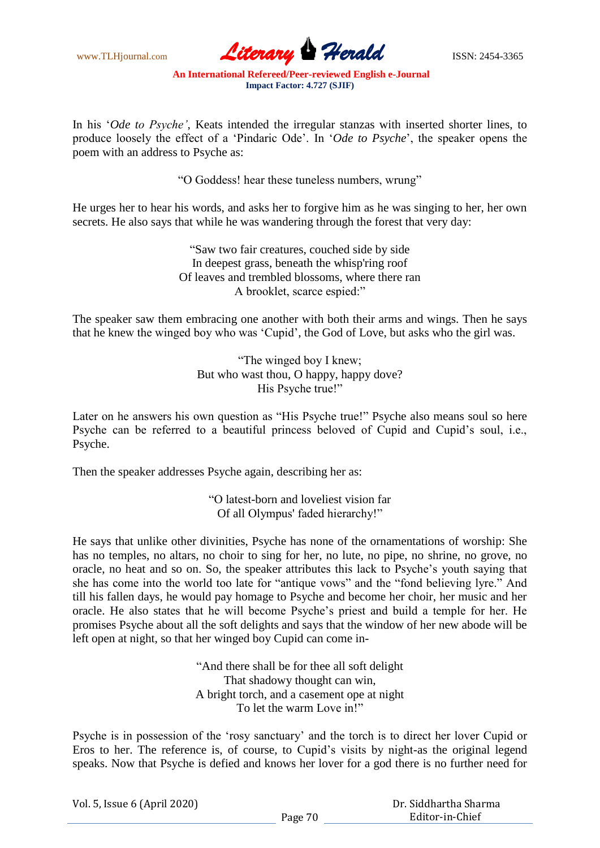www.TLHjournal.com **Literary Perald ISSN: 2454-3365** 

In his "*Ode to Psyche'*, Keats intended the irregular stanzas with inserted shorter lines, to produce loosely the effect of a "Pindaric Ode". In "*Ode to Psyche*", the speaker opens the poem with an address to Psyche as:

"O Goddess! hear these tuneless numbers, wrung"

He urges her to hear his words, and asks her to forgive him as he was singing to her, her own secrets. He also says that while he was wandering through the forest that very day:

> "Saw two fair creatures, couched side by side In deepest grass, beneath the whisp'ring roof Of leaves and trembled blossoms, where there ran A brooklet, scarce espied:"

The speaker saw them embracing one another with both their arms and wings. Then he says that he knew the winged boy who was "Cupid", the God of Love, but asks who the girl was.

> "The winged boy I knew; But who wast thou, O happy, happy dove? His Psyche true!"

Later on he answers his own question as "His Psyche true!" Psyche also means soul so here Psyche can be referred to a beautiful princess beloved of Cupid and Cupid"s soul, i.e., Psyche.

Then the speaker addresses Psyche again, describing her as:

"O latest-born and loveliest vision far Of all Olympus' faded hierarchy!"

He says that unlike other divinities, Psyche has none of the ornamentations of worship: She has no temples, no altars, no choir to sing for her, no lute, no pipe, no shrine, no grove, no oracle, no heat and so on. So, the speaker attributes this lack to Psyche"s youth saying that she has come into the world too late for "antique vows" and the "fond believing lyre." And till his fallen days, he would pay homage to Psyche and become her choir, her music and her oracle. He also states that he will become Psyche"s priest and build a temple for her. He promises Psyche about all the soft delights and says that the window of her new abode will be left open at night, so that her winged boy Cupid can come in-

> "And there shall be for thee all soft delight That shadowy thought can win, A bright torch, and a casement ope at night To let the warm Love in!"

Psyche is in possession of the "rosy sanctuary" and the torch is to direct her lover Cupid or Eros to her. The reference is, of course, to Cupid"s visits by night-as the original legend speaks. Now that Psyche is defied and knows her lover for a god there is no further need for

| Vol. 5, Issue 6 (April 2020) |  |  |  |
|------------------------------|--|--|--|
|------------------------------|--|--|--|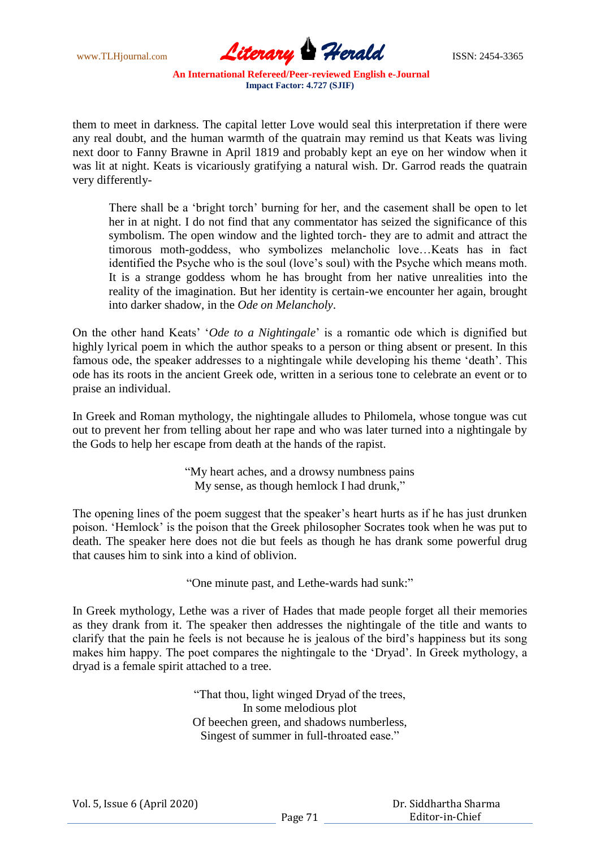www.TLHjournal.com **Literary Perald ISSN: 2454-3365** 

them to meet in darkness. The capital letter Love would seal this interpretation if there were any real doubt, and the human warmth of the quatrain may remind us that Keats was living next door to Fanny Brawne in April 1819 and probably kept an eye on her window when it was lit at night. Keats is vicariously gratifying a natural wish. Dr. Garrod reads the quatrain very differently-

There shall be a "bright torch" burning for her, and the casement shall be open to let her in at night. I do not find that any commentator has seized the significance of this symbolism. The open window and the lighted torch- they are to admit and attract the timorous moth-goddess, who symbolizes melancholic love…Keats has in fact identified the Psyche who is the soul (love"s soul) with the Psyche which means moth. It is a strange goddess whom he has brought from her native unrealities into the reality of the imagination. But her identity is certain-we encounter her again, brought into darker shadow, in the *Ode on Melancholy*.

On the other hand Keats" "*Ode to a Nightingale*" is a romantic ode which is dignified but highly lyrical poem in which the author speaks to a person or thing absent or present. In this famous ode, the speaker addresses to a nightingale while developing his theme "death". This ode has its roots in the ancient Greek ode, written in a serious tone to celebrate an event or to praise an individual.

In Greek and Roman mythology, the nightingale alludes to Philomela, whose tongue was cut out to prevent her from telling about her rape and who was later turned into a nightingale by the Gods to help her escape from death at the hands of the rapist.

> "My heart aches, and a drowsy numbness pains My sense, as though hemlock I had drunk,"

The opening lines of the poem suggest that the speaker's heart hurts as if he has just drunken poison. "Hemlock" is the poison that the Greek philosopher Socrates took when he was put to death. The speaker here does not die but feels as though he has drank some powerful drug that causes him to sink into a kind of oblivion.

"One minute past, and Lethe-wards had sunk:"

In Greek mythology, Lethe was a river of Hades that made people forget all their memories as they drank from it. The speaker then addresses the nightingale of the title and wants to clarify that the pain he feels is not because he is jealous of the bird"s happiness but its song makes him happy. The poet compares the nightingale to the "Dryad". In Greek mythology, a dryad is a female spirit attached to a tree.

> "That thou, light winged Dryad of the trees, In some melodious plot Of beechen green, and shadows numberless, Singest of summer in full-throated ease."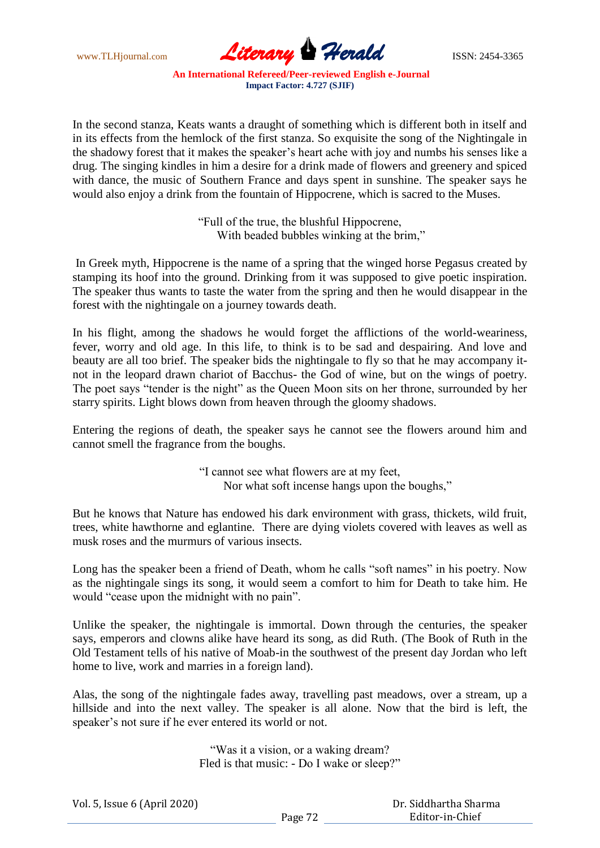www.TLHjournal.com **Literary Herald ISSN: 2454-3365** 

In the second stanza, Keats wants a draught of something which is different both in itself and in its effects from the hemlock of the first stanza. So exquisite the song of the Nightingale in the shadowy forest that it makes the speaker"s heart ache with joy and numbs his senses like a drug. The singing kindles in him a desire for a drink made of flowers and greenery and spiced with dance, the music of Southern France and days spent in sunshine. The speaker says he would also enjoy a drink from the fountain of Hippocrene, which is sacred to the Muses.

> "Full of the true, the blushful Hippocrene, With beaded bubbles winking at the brim,"

In Greek myth, Hippocrene is the name of a spring that the winged horse Pegasus created by stamping its hoof into the ground. Drinking from it was supposed to give poetic inspiration. The speaker thus wants to taste the water from the spring and then he would disappear in the forest with the nightingale on a journey towards death.

In his flight, among the shadows he would forget the afflictions of the world-weariness, fever, worry and old age. In this life, to think is to be sad and despairing. And love and beauty are all too brief. The speaker bids the nightingale to fly so that he may accompany itnot in the leopard drawn chariot of Bacchus- the God of wine, but on the wings of poetry. The poet says "tender is the night" as the Queen Moon sits on her throne, surrounded by her starry spirits. Light blows down from heaven through the gloomy shadows.

Entering the regions of death, the speaker says he cannot see the flowers around him and cannot smell the fragrance from the boughs.

> "I cannot see what flowers are at my feet, Nor what soft incense hangs upon the boughs,"

But he knows that Nature has endowed his dark environment with grass, thickets, wild fruit, trees, white hawthorne and eglantine. There are dying violets covered with leaves as well as musk roses and the murmurs of various insects.

Long has the speaker been a friend of Death, whom he calls "soft names" in his poetry. Now as the nightingale sings its song, it would seem a comfort to him for Death to take him. He would "cease upon the midnight with no pain".

Unlike the speaker, the nightingale is immortal. Down through the centuries, the speaker says, emperors and clowns alike have heard its song, as did Ruth. (The Book of Ruth in the Old Testament tells of his native of Moab-in the southwest of the present day Jordan who left home to live, work and marries in a foreign land).

Alas, the song of the nightingale fades away, travelling past meadows, over a stream, up a hillside and into the next valley. The speaker is all alone. Now that the bird is left, the speaker's not sure if he ever entered its world or not.

> "Was it a vision, or a waking dream? Fled is that music: - Do I wake or sleep?"

| Vol. 5, Issue 6 (April 2020) |         | Dr. Siddhartha Sharma |  |
|------------------------------|---------|-----------------------|--|
|                              | Page 72 | Editor-in-Chief       |  |